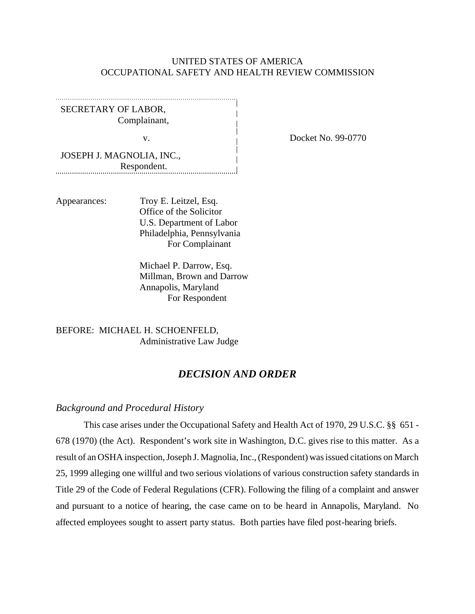### UNITED STATES OF AMERICA OCCUPATIONAL SAFETY AND HEALTH REVIEW COMMISSION

SECRETARY OF LABOR, Complainant,

JOSEPH J. MAGNOLIA, INC., Respondent. 

Appearances: Troy E. Leitzel, Esq. Office of the Solicitor U.S. Department of Labor Philadelphia, Pennsylvania For Complainant

> Michael P. Darrow, Esq. Millman, Brown and Darrow Annapolis, Maryland For Respondent

BEFORE: MICHAEL H. SCHOENFELD, Administrative Law Judge

# *DECISION AND ORDER*

### *Background and Procedural History*

This case arises under the Occupational Safety and Health Act of 1970, 29 U.S.C. §§ 651 - 678 (1970) (the Act). Respondent's work site in Washington, D.C. gives rise to this matter. As a result of an OSHA inspection, Joseph J. Magnolia, Inc., (Respondent) was issued citations on March 25, 1999 alleging one willful and two serious violations of various construction safety standards in Title 29 of the Code of Federal Regulations (CFR). Following the filing of a complaint and answer and pursuant to a notice of hearing, the case came on to be heard in Annapolis, Maryland. No affected employees sought to assert party status. Both parties have filed post-hearing briefs.

v. Docket No. 99-0770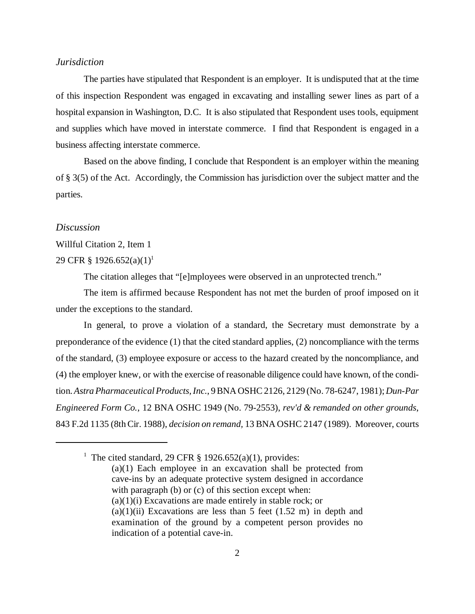### *Jurisdiction*

The parties have stipulated that Respondent is an employer. It is undisputed that at the time of this inspection Respondent was engaged in excavating and installing sewer lines as part of a hospital expansion in Washington, D.C. It is also stipulated that Respondent uses tools, equipment and supplies which have moved in interstate commerce. I find that Respondent is engaged in a business affecting interstate commerce.

Based on the above finding, I conclude that Respondent is an employer within the meaning of § 3(5) of the Act. Accordingly, the Commission has jurisdiction over the subject matter and the parties.

#### *Discussion*

#### Willful Citation 2, Item 1

#### 29 CFR § 1926.652(a)(1)<sup>1</sup>

The citation alleges that "[e]mployees were observed in an unprotected trench."

The item is affirmed because Respondent has not met the burden of proof imposed on it under the exceptions to the standard.

In general, to prove a violation of a standard, the Secretary must demonstrate by a preponderance of the evidence (1) that the cited standard applies, (2) noncompliance with the terms of the standard, (3) employee exposure or access to the hazard created by the noncompliance, and (4) the employer knew, or with the exercise of reasonable diligence could have known, of the condition. *Astra Pharmaceutical Products, Inc.*, 9 BNA OSHC 2126, 2129 (No. 78-6247, 1981); *Dun-Par Engineered Form Co.*, 12 BNA OSHC 1949 (No. 79-2553), *rev'd & remanded on other grounds*, 843 F.2d 1135 (8th Cir. 1988), *decision on remand,* 13 BNA OSHC 2147 (1989). Moreover, courts

<sup>&</sup>lt;sup>1</sup> The cited standard, 29 CFR  $\S$  1926.652(a)(1), provides: (a)(1) Each employee in an excavation shall be protected from cave-ins by an adequate protective system designed in accordance with paragraph (b) or (c) of this section except when:  $(a)(1)(i)$  Excavations are made entirely in stable rock; or  $(a)(1)(ii)$  Excavations are less than 5 feet  $(1.52 \text{ m})$  in depth and examination of the ground by a competent person provides no indication of a potential cave-in.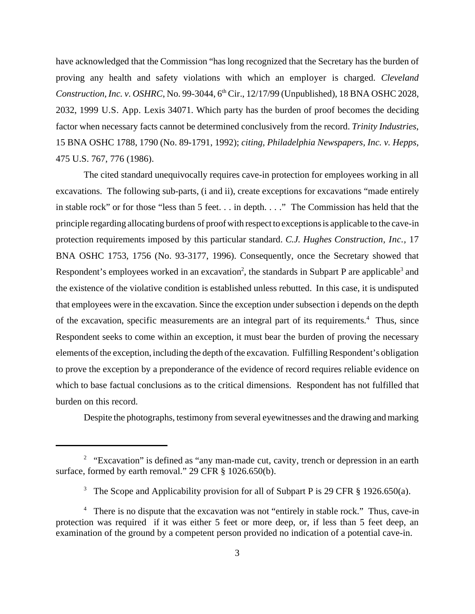have acknowledged that the Commission "has long recognized that the Secretary has the burden of proving any health and safety violations with which an employer is charged. *Cleveland Construction, Inc. v. OSHRC, No.* 99-3044, 6<sup>th</sup> Cir., 12/17/99 (Unpublished), 18 BNA OSHC 2028, 2032, 1999 U.S. App. Lexis 34071. Which party has the burden of proof becomes the deciding factor when necessary facts cannot be determined conclusively from the record. *Trinity Industries*, 15 BNA OSHC 1788, 1790 (No. 89-1791, 1992); *citing, Philadelphia Newspapers, Inc. v. Hepps,* 475 U.S. 767, 776 (1986).

The cited standard unequivocally requires cave-in protection for employees working in all excavations. The following sub-parts, (i and ii), create exceptions for excavations "made entirely in stable rock" or for those "less than 5 feet. . . in depth. . . ." The Commission has held that the principle regarding allocating burdens of proof with respect to exceptions is applicable to the cave-in protection requirements imposed by this particular standard. *C.J. Hughes Construction, Inc.,* 17 BNA OSHC 1753, 1756 (No. 93-3177, 1996). Consequently, once the Secretary showed that Respondent's employees worked in an excavation<sup>2</sup>, the standards in Subpart P are applicable<sup>3</sup> and the existence of the violative condition is established unless rebutted. In this case, it is undisputed that employees were in the excavation. Since the exception under subsection i depends on the depth of the excavation, specific measurements are an integral part of its requirements.<sup>4</sup> Thus, since Respondent seeks to come within an exception, it must bear the burden of proving the necessary elements of the exception, including the depth of the excavation. Fulfilling Respondent's obligation to prove the exception by a preponderance of the evidence of record requires reliable evidence on which to base factual conclusions as to the critical dimensions. Respondent has not fulfilled that burden on this record.

Despite the photographs, testimony from several eyewitnesses and the drawing and marking

 $2$  "Excavation" is defined as "any man-made cut, cavity, trench or depression in an earth surface, formed by earth removal." 29 CFR § 1026.650(b).

<sup>&</sup>lt;sup>3</sup> The Scope and Applicability provision for all of Subpart P is 29 CFR § 1926.650(a).

<sup>&</sup>lt;sup>4</sup> There is no dispute that the excavation was not "entirely in stable rock." Thus, cave-in protection was required if it was either 5 feet or more deep, or, if less than 5 feet deep, an examination of the ground by a competent person provided no indication of a potential cave-in.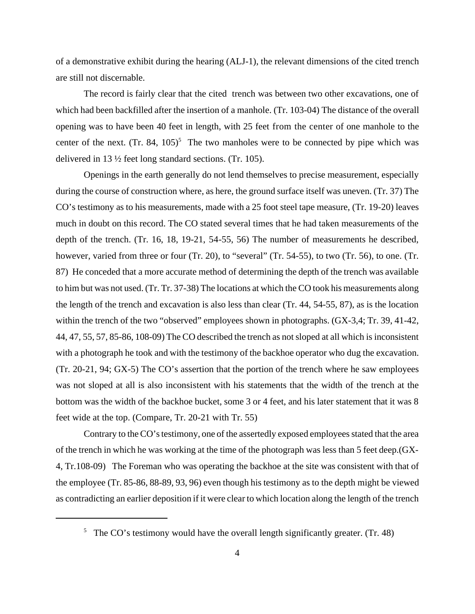of a demonstrative exhibit during the hearing (ALJ-1), the relevant dimensions of the cited trench are still not discernable.

The record is fairly clear that the cited trench was between two other excavations, one of which had been backfilled after the insertion of a manhole. (Tr. 103-04) The distance of the overall opening was to have been 40 feet in length, with 25 feet from the center of one manhole to the center of the next. (Tr. 84,  $105$ )<sup>5</sup> The two manholes were to be connected by pipe which was delivered in 13 ½ feet long standard sections. (Tr. 105).

Openings in the earth generally do not lend themselves to precise measurement, especially during the course of construction where, as here, the ground surface itself was uneven. (Tr. 37) The CO's testimony as to his measurements, made with a 25 foot steel tape measure, (Tr. 19-20) leaves much in doubt on this record. The CO stated several times that he had taken measurements of the depth of the trench. (Tr. 16, 18, 19-21, 54-55, 56) The number of measurements he described, however, varied from three or four (Tr. 20), to "several" (Tr. 54-55), to two (Tr. 56), to one. (Tr. 87) He conceded that a more accurate method of determining the depth of the trench was available to him but was not used. (Tr. Tr. 37-38) The locations at which the CO took his measurements along the length of the trench and excavation is also less than clear (Tr. 44, 54-55, 87), as is the location within the trench of the two "observed" employees shown in photographs. (GX-3,4; Tr. 39, 41-42, 44, 47, 55, 57, 85-86, 108-09) The CO described the trench as not sloped at all which is inconsistent with a photograph he took and with the testimony of the backhoe operator who dug the excavation. (Tr. 20-21, 94; GX-5) The CO's assertion that the portion of the trench where he saw employees was not sloped at all is also inconsistent with his statements that the width of the trench at the bottom was the width of the backhoe bucket, some 3 or 4 feet, and his later statement that it was 8 feet wide at the top. (Compare, Tr. 20-21 with Tr. 55)

Contrary to the CO's testimony, one of the assertedly exposed employees stated that the area of the trench in which he was working at the time of the photograph was less than 5 feet deep.(GX-4, Tr.108-09) The Foreman who was operating the backhoe at the site was consistent with that of the employee (Tr. 85-86, 88-89, 93, 96) even though his testimony as to the depth might be viewed as contradicting an earlier deposition if it were clear to which location along the length of the trench

<sup>&</sup>lt;sup>5</sup> The CO's testimony would have the overall length significantly greater. (Tr. 48)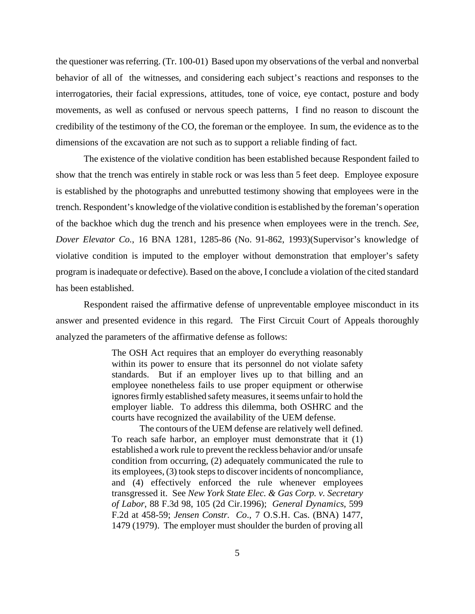the questioner was referring. (Tr. 100-01) Based upon my observations of the verbal and nonverbal behavior of all of the witnesses, and considering each subject's reactions and responses to the interrogatories, their facial expressions, attitudes, tone of voice, eye contact, posture and body movements, as well as confused or nervous speech patterns, I find no reason to discount the credibility of the testimony of the CO, the foreman or the employee. In sum, the evidence as to the dimensions of the excavation are not such as to support a reliable finding of fact.

The existence of the violative condition has been established because Respondent failed to show that the trench was entirely in stable rock or was less than 5 feet deep. Employee exposure is established by the photographs and unrebutted testimony showing that employees were in the trench. Respondent's knowledge of the violative condition is established by the foreman's operation of the backhoe which dug the trench and his presence when employees were in the trench. *See, Dover Elevator Co.*, 16 BNA 1281, 1285-86 (No. 91-862, 1993)(Supervisor's knowledge of violative condition is imputed to the employer without demonstration that employer's safety program is inadequate or defective). Based on the above, I conclude a violation of the cited standard has been established.

Respondent raised the affirmative defense of unpreventable employee misconduct in its answer and presented evidence in this regard. The First Circuit Court of Appeals thoroughly analyzed the parameters of the affirmative defense as follows:

> The OSH Act requires that an employer do everything reasonably within its power to ensure that its personnel do not violate safety standards. But if an employer lives up to that billing and an employee nonetheless fails to use proper equipment or otherwise ignores firmly established safety measures, it seems unfair to hold the employer liable. To address this dilemma, both OSHRC and the courts have recognized the availability of the UEM defense.

> The contours of the UEM defense are relatively well defined. To reach safe harbor, an employer must demonstrate that it (1) established a work rule to prevent the reckless behavior and/or unsafe condition from occurring, (2) adequately communicated the rule to its employees, (3) took steps to discover incidents of noncompliance, and (4) effectively enforced the rule whenever employees transgressed it. See *New York State Elec. & Gas Corp. v. Secretary of Labor*, 88 F.3d 98, 105 (2d Cir.1996); *General Dynamics*, 599 F.2d at 458-59; *Jensen Constr. Co*., 7 O.S.H. Cas. (BNA) 1477, 1479 (1979). The employer must shoulder the burden of proving all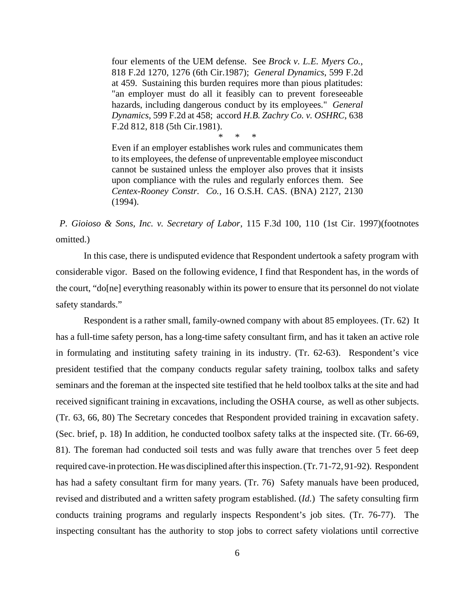four elements of the UEM defense. See *Brock v. L.E. Myers Co.*, 818 F.2d 1270, 1276 (6th Cir.1987); *General Dynamics*, 599 F.2d at 459. Sustaining this burden requires more than pious platitudes: "an employer must do all it feasibly can to prevent foreseeable hazards, including dangerous conduct by its employees." *General Dynamics*, 599 F.2d at 458; accord *H.B. Zachry Co. v. OSHRC*, 638 F.2d 812, 818 (5th Cir.1981).

\* \* \*

Even if an employer establishes work rules and communicates them to its employees, the defense of unpreventable employee misconduct cannot be sustained unless the employer also proves that it insists upon compliance with the rules and regularly enforces them. See *Centex-Rooney Constr. Co.,* 16 O.S.H. CAS. (BNA) 2127, 2130 (1994).

*P. Gioioso & Sons, Inc. v. Secretary of Labor*, 115 F.3d 100, 110 (1st Cir. 1997)(footnotes omitted.)

In this case, there is undisputed evidence that Respondent undertook a safety program with considerable vigor. Based on the following evidence, I find that Respondent has, in the words of the court, "do[ne] everything reasonably within its power to ensure that its personnel do not violate safety standards."

Respondent is a rather small, family-owned company with about 85 employees. (Tr. 62) It has a full-time safety person, has a long-time safety consultant firm, and has it taken an active role in formulating and instituting safety training in its industry. (Tr. 62-63). Respondent's vice president testified that the company conducts regular safety training, toolbox talks and safety seminars and the foreman at the inspected site testified that he held toolbox talks at the site and had received significant training in excavations, including the OSHA course, as well as other subjects. (Tr. 63, 66, 80) The Secretary concedes that Respondent provided training in excavation safety. (Sec. brief, p. 18) In addition, he conducted toolbox safety talks at the inspected site. (Tr. 66-69, 81). The foreman had conducted soil tests and was fully aware that trenches over 5 feet deep required cave-in protection. He was disciplined after this inspection. (Tr. 71-72, 91-92). Respondent has had a safety consultant firm for many years. (Tr. 76) Safety manuals have been produced, revised and distributed and a written safety program established. (*Id.*) The safety consulting firm conducts training programs and regularly inspects Respondent's job sites. (Tr. 76-77). The inspecting consultant has the authority to stop jobs to correct safety violations until corrective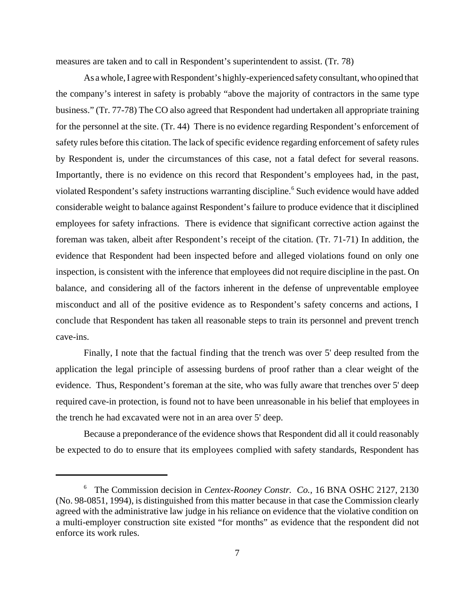measures are taken and to call in Respondent's superintendent to assist. (Tr. 78)

As a whole, I agree with Respondent's highly-experienced safety consultant, who opined that the company's interest in safety is probably "above the majority of contractors in the same type business." (Tr. 77-78) The CO also agreed that Respondent had undertaken all appropriate training for the personnel at the site. (Tr. 44) There is no evidence regarding Respondent's enforcement of safety rules before this citation. The lack of specific evidence regarding enforcement of safety rules by Respondent is, under the circumstances of this case, not a fatal defect for several reasons. Importantly, there is no evidence on this record that Respondent's employees had, in the past, violated Respondent's safety instructions warranting discipline.<sup>6</sup> Such evidence would have added considerable weight to balance against Respondent's failure to produce evidence that it disciplined employees for safety infractions. There is evidence that significant corrective action against the foreman was taken, albeit after Respondent's receipt of the citation. (Tr. 71-71) In addition, the evidence that Respondent had been inspected before and alleged violations found on only one inspection, is consistent with the inference that employees did not require discipline in the past. On balance, and considering all of the factors inherent in the defense of unpreventable employee misconduct and all of the positive evidence as to Respondent's safety concerns and actions, I conclude that Respondent has taken all reasonable steps to train its personnel and prevent trench cave-ins.

Finally, I note that the factual finding that the trench was over 5' deep resulted from the application the legal principle of assessing burdens of proof rather than a clear weight of the evidence. Thus, Respondent's foreman at the site, who was fully aware that trenches over 5' deep required cave-in protection, is found not to have been unreasonable in his belief that employees in the trench he had excavated were not in an area over 5' deep.

Because a preponderance of the evidence shows that Respondent did all it could reasonably be expected to do to ensure that its employees complied with safety standards, Respondent has

<sup>6</sup> The Commission decision in *Centex-Rooney Constr. Co.,* 16 BNA OSHC 2127, 2130 (No. 98-0851, 1994), is distinguished from this matter because in that case the Commission clearly agreed with the administrative law judge in his reliance on evidence that the violative condition on a multi-employer construction site existed "for months" as evidence that the respondent did not enforce its work rules.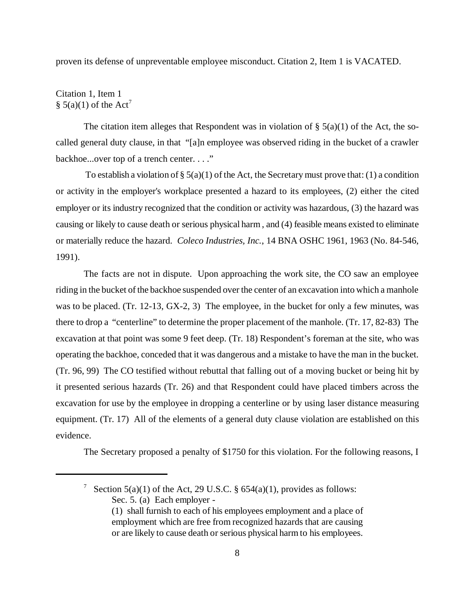proven its defense of unpreventable employee misconduct. Citation 2, Item 1 is VACATED.

### Citation 1, Item 1 § 5(a)(1) of the Act<sup>7</sup>

The citation item alleges that Respondent was in violation of  $\S$  5(a)(1) of the Act, the socalled general duty clause, in that "[a]n employee was observed riding in the bucket of a crawler backhoe...over top of a trench center. . . ."

To establish a violation of §  $5(a)(1)$  of the Act, the Secretary must prove that: (1) a condition or activity in the employer's workplace presented a hazard to its employees, (2) either the cited employer or its industry recognized that the condition or activity was hazardous, (3) the hazard was causing or likely to cause death or serious physical harm , and (4) feasible means existed to eliminate or materially reduce the hazard. *Coleco Industries, Inc.*, 14 BNA OSHC 1961, 1963 (No. 84-546, 1991).

The facts are not in dispute. Upon approaching the work site, the CO saw an employee riding in the bucket of the backhoe suspended over the center of an excavation into which a manhole was to be placed. (Tr. 12-13, GX-2, 3) The employee, in the bucket for only a few minutes, was there to drop a "centerline" to determine the proper placement of the manhole. (Tr. 17, 82-83) The excavation at that point was some 9 feet deep. (Tr. 18) Respondent's foreman at the site, who was operating the backhoe, conceded that it was dangerous and a mistake to have the man in the bucket. (Tr. 96, 99) The CO testified without rebuttal that falling out of a moving bucket or being hit by it presented serious hazards (Tr. 26) and that Respondent could have placed timbers across the excavation for use by the employee in dropping a centerline or by using laser distance measuring equipment. (Tr. 17) All of the elements of a general duty clause violation are established on this evidence.

The Secretary proposed a penalty of \$1750 for this violation. For the following reasons, I

<sup>&</sup>lt;sup>7</sup> Section 5(a)(1) of the Act, 29 U.S.C. § 654(a)(1), provides as follows: Sec. 5. (a) Each employer -

<sup>(1)</sup> shall furnish to each of his employees employment and a place of employment which are free from recognized hazards that are causing or are likely to cause death or serious physical harm to his employees.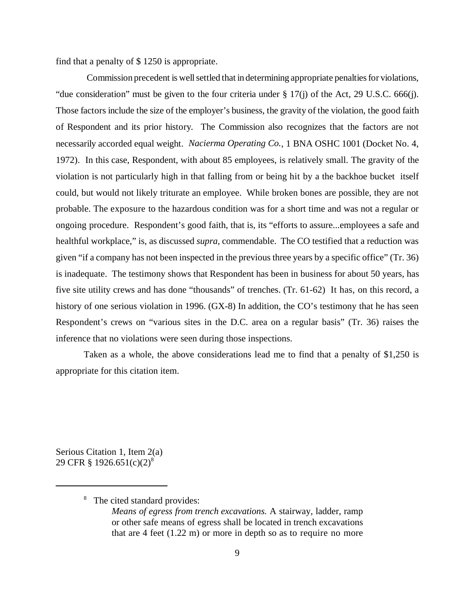find that a penalty of \$ 1250 is appropriate.

 Commission precedent is well settled that in determining appropriate penalties for violations, "due consideration" must be given to the four criteria under § 17(j) of the Act, 29 U.S.C. 666(j). Those factors include the size of the employer's business, the gravity of the violation, the good faith of Respondent and its prior history. The Commission also recognizes that the factors are not necessarily accorded equal weight. *Nacierma Operating Co.*, 1 BNA OSHC 1001 (Docket No. 4, 1972). In this case, Respondent, with about 85 employees, is relatively small. The gravity of the violation is not particularly high in that falling from or being hit by a the backhoe bucket itself could, but would not likely triturate an employee. While broken bones are possible, they are not probable. The exposure to the hazardous condition was for a short time and was not a regular or ongoing procedure. Respondent's good faith, that is, its "efforts to assure...employees a safe and healthful workplace," is, as discussed *supra,* commendable. The CO testified that a reduction was given "if a company has not been inspected in the previous three years by a specific office" (Tr. 36) is inadequate. The testimony shows that Respondent has been in business for about 50 years, has five site utility crews and has done "thousands" of trenches. (Tr. 61-62) It has, on this record, a history of one serious violation in 1996. (GX-8) In addition, the CO's testimony that he has seen Respondent's crews on "various sites in the D.C. area on a regular basis" (Tr. 36) raises the inference that no violations were seen during those inspections.

Taken as a whole, the above considerations lead me to find that a penalty of \$1,250 is appropriate for this citation item.

Serious Citation 1, Item 2(a) 29 CFR § 1926.651(c)(2)<sup>8</sup>

<sup>8</sup> The cited standard provides:

*Means of egress from trench excavations.* A stairway, ladder, ramp or other safe means of egress shall be located in trench excavations that are 4 feet (1.22 m) or more in depth so as to require no more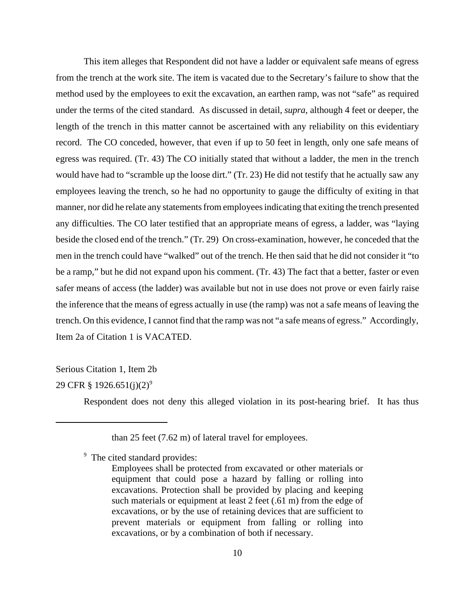This item alleges that Respondent did not have a ladder or equivalent safe means of egress from the trench at the work site. The item is vacated due to the Secretary's failure to show that the method used by the employees to exit the excavation, an earthen ramp, was not "safe" as required under the terms of the cited standard. As discussed in detail, *supra*, although 4 feet or deeper, the length of the trench in this matter cannot be ascertained with any reliability on this evidentiary record. The CO conceded, however, that even if up to 50 feet in length, only one safe means of egress was required. (Tr. 43) The CO initially stated that without a ladder, the men in the trench would have had to "scramble up the loose dirt." (Tr. 23) He did not testify that he actually saw any employees leaving the trench, so he had no opportunity to gauge the difficulty of exiting in that manner, nor did he relate any statements from employees indicating that exiting the trench presented any difficulties. The CO later testified that an appropriate means of egress, a ladder, was "laying beside the closed end of the trench." (Tr. 29) On cross-examination, however, he conceded that the men in the trench could have "walked" out of the trench. He then said that he did not consider it "to be a ramp," but he did not expand upon his comment. (Tr. 43) The fact that a better, faster or even safer means of access (the ladder) was available but not in use does not prove or even fairly raise the inference that the means of egress actually in use (the ramp) was not a safe means of leaving the trench. On this evidence, I cannot find that the ramp was not "a safe means of egress." Accordingly, Item 2a of Citation 1 is VACATED.

# Serious Citation 1, Item 2b

# 29 CFR § 1926.651(j)(2)<sup>9</sup>

Respondent does not deny this alleged violation in its post-hearing brief. It has thus

<sup>9</sup> The cited standard provides:

than 25 feet (7.62 m) of lateral travel for employees.

Employees shall be protected from excavated or other materials or equipment that could pose a hazard by falling or rolling into excavations. Protection shall be provided by placing and keeping such materials or equipment at least 2 feet (.61 m) from the edge of excavations, or by the use of retaining devices that are sufficient to prevent materials or equipment from falling or rolling into excavations, or by a combination of both if necessary.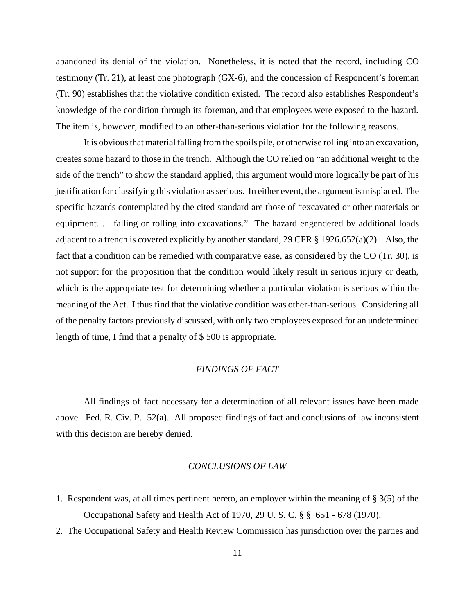abandoned its denial of the violation. Nonetheless, it is noted that the record, including CO testimony (Tr. 21), at least one photograph (GX-6), and the concession of Respondent's foreman (Tr. 90) establishes that the violative condition existed. The record also establishes Respondent's knowledge of the condition through its foreman, and that employees were exposed to the hazard. The item is, however, modified to an other-than-serious violation for the following reasons.

It is obvious that material falling from the spoils pile, or otherwise rolling into an excavation, creates some hazard to those in the trench. Although the CO relied on "an additional weight to the side of the trench" to show the standard applied, this argument would more logically be part of his justification for classifying this violation as serious. In either event, the argument is misplaced. The specific hazards contemplated by the cited standard are those of "excavated or other materials or equipment. . . falling or rolling into excavations." The hazard engendered by additional loads adjacent to a trench is covered explicitly by another standard, 29 CFR § 1926.652(a)(2). Also, the fact that a condition can be remedied with comparative ease, as considered by the CO (Tr. 30), is not support for the proposition that the condition would likely result in serious injury or death, which is the appropriate test for determining whether a particular violation is serious within the meaning of the Act. I thus find that the violative condition was other-than-serious. Considering all of the penalty factors previously discussed, with only two employees exposed for an undetermined length of time, I find that a penalty of \$ 500 is appropriate.

### *FINDINGS OF FACT*

All findings of fact necessary for a determination of all relevant issues have been made above. Fed. R. Civ. P. 52(a). All proposed findings of fact and conclusions of law inconsistent with this decision are hereby denied.

### *CONCLUSIONS OF LAW*

- 1. Respondent was, at all times pertinent hereto, an employer within the meaning of § 3(5) of the Occupational Safety and Health Act of 1970, 29 U. S. C. § § 651 - 678 (1970).
- 2. The Occupational Safety and Health Review Commission has jurisdiction over the parties and